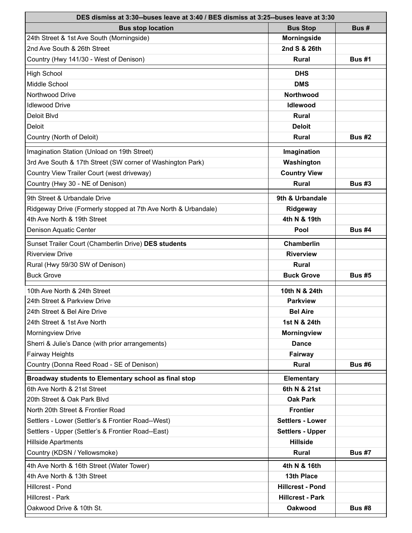| DES dismiss at 3:30--buses leave at 3:40 / BES dismiss at 3:25--buses leave at 3:30 |                         |               |  |
|-------------------------------------------------------------------------------------|-------------------------|---------------|--|
| <b>Bus stop location</b>                                                            | <b>Bus Stop</b>         | Bus#          |  |
| 24th Street & 1st Ave South (Morningside)                                           | <b>Morningside</b>      |               |  |
| 2nd Ave South & 26th Street                                                         | 2nd S & 26th            |               |  |
| Country (Hwy 141/30 - West of Denison)                                              | <b>Rural</b>            | <b>Bus #1</b> |  |
| <b>High School</b>                                                                  | <b>DHS</b>              |               |  |
| Middle School                                                                       | <b>DMS</b>              |               |  |
| Northwood Drive                                                                     | <b>Northwood</b>        |               |  |
| <b>Idlewood Drive</b>                                                               | <b>Idlewood</b>         |               |  |
| Deloit Blvd                                                                         | <b>Rural</b>            |               |  |
| Deloit                                                                              | <b>Deloit</b>           |               |  |
| Country (North of Deloit)                                                           | <b>Rural</b>            | <b>Bus #2</b> |  |
| Imagination Station (Unload on 19th Street)                                         | Imagination             |               |  |
| 3rd Ave South & 17th Street (SW corner of Washington Park)                          | Washington              |               |  |
| Country View Trailer Court (west driveway)                                          | <b>Country View</b>     |               |  |
| Country (Hwy 30 - NE of Denison)                                                    | <b>Rural</b>            | <b>Bus #3</b> |  |
| 9th Street & Urbandale Drive                                                        | 9th & Urbandale         |               |  |
| Ridgeway Drive (Formerly stopped at 7th Ave North & Urbandale)                      | <b>Ridgeway</b>         |               |  |
| 4th Ave North & 19th Street                                                         | 4th N & 19th            |               |  |
| Denison Aquatic Center                                                              | Pool                    | <b>Bus #4</b> |  |
| Sunset Trailer Court (Chamberlin Drive) DES students                                | <b>Chamberlin</b>       |               |  |
| <b>Riverview Drive</b>                                                              | <b>Riverview</b>        |               |  |
| Rural (Hwy 59/30 SW of Denison)                                                     | <b>Rural</b>            |               |  |
| <b>Buck Grove</b>                                                                   | <b>Buck Grove</b>       | <b>Bus #5</b> |  |
| 10th Ave North & 24th Street                                                        | 10th N & 24th           |               |  |
| 24th Street & Parkview Drive                                                        | <b>Parkview</b>         |               |  |
| 24th Street & Bel Aire Drive                                                        | <b>Bel Aire</b>         |               |  |
| 24th Street & 1st Ave North                                                         | 1st N & 24th            |               |  |
| Morningview Drive                                                                   | <b>Morningview</b>      |               |  |
| Sherri & Julie's Dance (with prior arrangements)                                    | <b>Dance</b>            |               |  |
| Fairway Heights                                                                     | Fairway                 |               |  |
| Country (Donna Reed Road - SE of Denison)                                           | <b>Rural</b>            | <b>Bus #6</b> |  |
| Broadway students to Elementary school as final stop                                | Elementary              |               |  |
| 6th Ave North & 21st Street                                                         | 6th N & 21st            |               |  |
| 20th Street & Oak Park Blvd                                                         | <b>Oak Park</b>         |               |  |
| North 20th Street & Frontier Road                                                   | <b>Frontier</b>         |               |  |
| Settlers - Lower (Settler's & Frontier Road--West)                                  | <b>Settlers - Lower</b> |               |  |
| Settlers - Upper (Settler's & Frontier Road--East)                                  | <b>Settlers - Upper</b> |               |  |
| <b>Hillside Apartments</b>                                                          | <b>Hillside</b>         |               |  |
| Country (KDSN / Yellowsmoke)                                                        | <b>Rural</b>            | <b>Bus #7</b> |  |
| 4th Ave North & 16th Street (Water Tower)                                           | 4th N & 16th            |               |  |
| 4th Ave North & 13th Street                                                         | 13th Place              |               |  |
| Hillcrest - Pond                                                                    | <b>Hillcrest - Pond</b> |               |  |
| Hillcrest - Park                                                                    | <b>Hillcrest - Park</b> |               |  |
| Oakwood Drive & 10th St.                                                            | Oakwood                 | <b>Bus #8</b> |  |